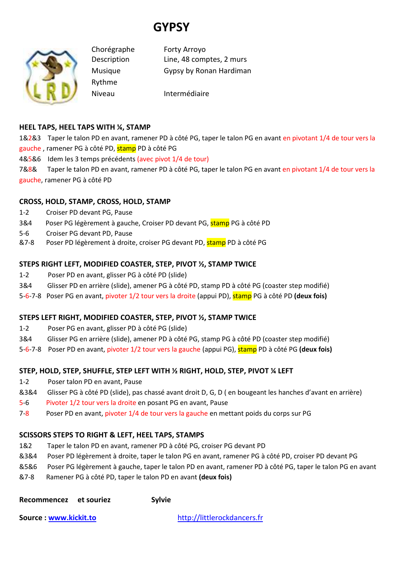# **GYPSY**



Rythme

Chorégraphe Forty Arroyo Description Line, 48 comptes, 2 murs Musique Gypsy by Ronan Hardiman

Niveau Intermédiaire

## **HEEL TAPS, HEEL TAPS WITH ¼, STAMP**

1&2&3 Taper le talon PD en avant, ramener PD à côté PG, taper le talon PG en avant en pivotant 1/4 de tour vers la gauche, ramener PG à côté PD, stamp PD à côté PG

4&5&6 Idem les 3 temps précédents (avec pivot 1/4 de tour)

7&8& Taper le talon PD en avant, ramener PD à côté PG, taper le talon PG en avant en pivotant 1/4 de tour vers la gauche, ramener PG à côté PD

## **CROSS, HOLD, STAMP, CROSS, HOLD, STAMP**

- 1-2 Croiser PD devant PG, Pause
- 3&4 Poser PG légèrement à gauche, Croiser PD devant PG, stamp PG à côté PD
- 5-6 Croiser PG devant PD, Pause
- &7-8 Poser PD légèrement à droite, croiser PG devant PD, stamp PD à côté PG

## **STEPS RIGHT LEFT, MODIFIED COASTER, STEP, PIVOT ½, STAMP TWICE**

- 1-2 Poser PD en avant, glisser PG à côté PD (slide)
- 3&4 Glisser PD en arrière (slide), amener PG à côté PD, stamp PD à côté PG (coaster step modifié)
- 5-6-7-8 Poser PG en avant, pivoter 1/2 tour vers la droite (appui PD), stamp PG à côté PD **(deux fois)**

## **STEPS LEFT RIGHT, MODIFIED COASTER, STEP, PIVOT ½, STAMP TWICE**

- 1-2 Poser PG en avant, glisser PD à côté PG (slide)
- 3&4 Glisser PG en arrière (slide), amener PD à côté PG, stamp PG à côté PD (coaster step modifié)
- 5-6-7-8 Poser PD en avant, pivoter 1/2 tour vers la gauche (appui PG), stamp PD à côté PG **(deux fois)**

## **STEP, HOLD, STEP, SHUFFLE, STEP LEFT WITH ½ RIGHT, HOLD, STEP, PIVOT ¼ LEFT**

- 1-2 Poser talon PD en avant, Pause
- &3&4 Glisser PG à côté PD (slide), pas chassé avant droit D, G, D ( en bougeant les hanches d'avant en arrière)
- 5-6 Pivoter 1/2 tour vers la droite en posant PG en avant, Pause
- 7-8 Poser PD en avant, pivoter 1/4 de tour vers la gauche en mettant poids du corps sur PG

## **SCISSORS STEPS TO RIGHT & LEFT, HEEL TAPS, STAMPS**

- 1&2 Taper le talon PD en avant, ramener PD à côté PG, croiser PG devant PD
- &3&4 Poser PD légèrement à droite, taper le talon PG en avant, ramener PG à côté PD, croiser PD devant PG
- &5&6 Poser PG légèrement à gauche, taper le talon PD en avant, ramener PD à côté PG, taper le talon PG en avant
- &7-8 Ramener PG à côté PD, taper le talon PD en avant **(deux fois)**
- Recommencez et souriez **Sylvie**

**Source : www.kickit.to** http://littlerockdancers.fr